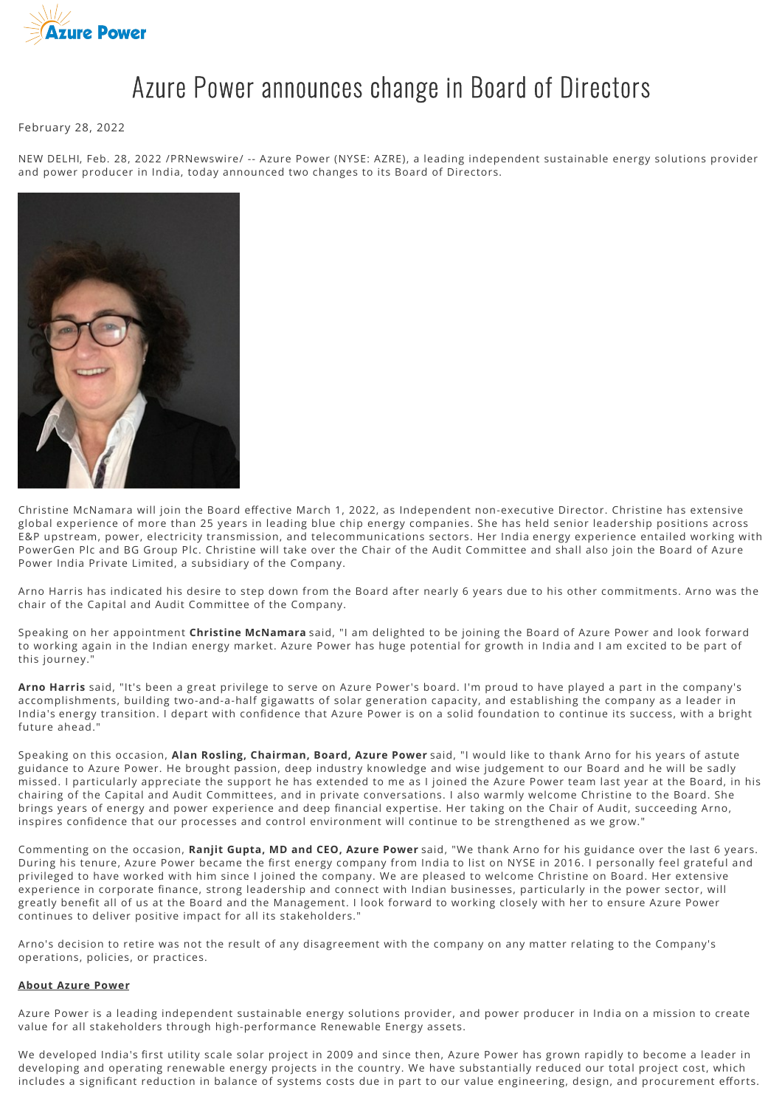

## Azure Power announces change in Board of Directors

February 28, 2022

NEW DELHI, Feb. 28, 2022 /PRNewswire/ -- Azure Power (NYSE: AZRE), a leading independent sustainable energy solutions provider and power producer in India, today announced two changes to its Board of Directors.



Christine McNamara will join the Board effective March 1, 2022, as Independent non-executive Director. Christine has extensive global experience of more than 25 years in leading blue chip energy companies. She has held senior leadership positions across E&P upstream, power, electricity transmission, and telecommunications sectors. Her India energy experience entailed working with PowerGen Plc and BG Group Plc. Christine will take over the Chair of the Audit Committee and shall also join the Board of Azure Power India Private Limited, a subsidiary of the Company.

Arno Harris has indicated his desire to step down from the Board after nearly 6 years due to his other commitments. Arno was the chair of the Capital and Audit Committee of the Company.

Speaking on her appointment **Christine McNamara** said, "I am delighted to be joining the Board of Azure Power and look forward to working again in the Indian energy market. Azure Power has huge potential for growth in India and I am excited to be part of this journey."

**Arno Harris** said, "It's been a great privilege to serve on Azure Power's board. I'm proud to have played a part in the company's accomplishments, building two-and-a-half gigawatts of solar generation capacity, and establishing the company as a leader in India's energy transition. I depart with confidence that Azure Power is on a solid foundation to continue its success, with a bright future ahead."

Speaking on this occasion, **Alan Rosling, Chairman, Board, Azure Power** said, "I would like to thank Arno for his years of astute guidance to Azure Power. He brought passion, deep industry knowledge and wise judgement to our Board and he will be sadly missed. I particularly appreciate the support he has extended to me as I joined the Azure Power team last year at the Board, in his chairing of the Capital and Audit Committees, and in private conversations. I also warmly welcome Christine to the Board. She brings years of energy and power experience and deep financial expertise. Her taking on the Chair of Audit, succeeding Arno, inspires confidence that our processes and control environment will continue to be strengthened as we grow."

Commenting on the occasion, **Ranjit Gupta, MD and CEO, Azure Power** said, "We thank Arno for his guidance over the last 6 years. During his tenure, Azure Power became the first energy company from India to list on NYSE in 2016. I personally feel grateful and privileged to have worked with him since I joined the company. We are pleased to welcome Christine on Board. Her extensive experience in corporate finance, strong leadership and connect with Indian businesses, particularly in the power sector, will greatly benefit all of us at the Board and the Management. I look forward to working closely with her to ensure Azure Power continues to deliver positive impact for all its stakeholders."

Arno's decision to retire was not the result of any disagreement with the company on any matter relating to the Company's operations, policies, or practices.

## **About Azure Power**

Azure Power is a leading independent sustainable energy solutions provider, and power producer in India on a mission to create value for all stakeholders through high-performance Renewable Energy assets.

We developed India's first utility scale solar project in 2009 and since then, Azure Power has grown rapidly to become a leader in developing and operating renewable energy projects in the country. We have substantially reduced our total project cost, which includes a significant reduction in balance of systems costs due in part to our value engineering, design, and procurement efforts.